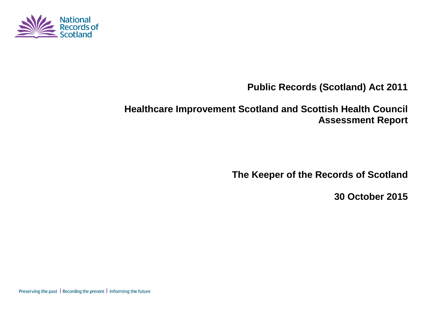

**Public Records (Scotland) Act 2011**

# **Healthcare Improvement Scotland and Scottish Health Council Assessment Report**

**The Keeper of the Records of Scotland**

**30 October 2015**

Preserving the past | Recording the present | Informing the future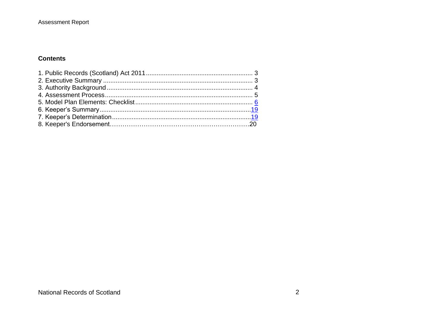#### **Contents**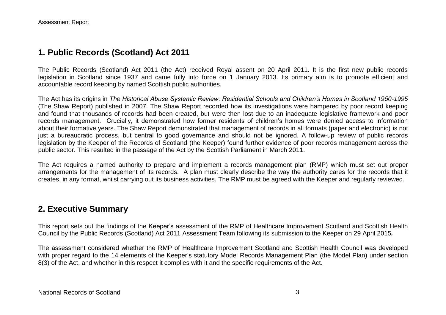## **1. Public Records (Scotland) Act 2011**

The Public Records (Scotland) Act 2011 (the Act) received Royal assent on 20 April 2011. It is the first new public records legislation in Scotland since 1937 and came fully into force on 1 January 2013. Its primary aim is to promote efficient and accountable record keeping by named Scottish public authorities.

The Act has its origins in *The Historical Abuse Systemic Review: Residential Schools and Children's Homes in Scotland 1950-1995* (The Shaw Report) published in 2007. The Shaw Report recorded how its investigations were hampered by poor record keeping and found that thousands of records had been created, but were then lost due to an inadequate legislative framework and poor records management. Crucially, it demonstrated how former residents of children's homes were denied access to information about their formative years. The Shaw Report demonstrated that management of records in all formats (paper and electronic) is not just a bureaucratic process, but central to good governance and should not be ignored. A follow-up review of public records legislation by the Keeper of the Records of Scotland (the Keeper) found further evidence of poor records management across the public sector. This resulted in the passage of the Act by the Scottish Parliament in March 2011.

The Act requires a named authority to prepare and implement a records management plan (RMP) which must set out proper arrangements for the management of its records. A plan must clearly describe the way the authority cares for the records that it creates, in any format, whilst carrying out its business activities. The RMP must be agreed with the Keeper and regularly reviewed.

## **2. Executive Summary**

This report sets out the findings of the Keeper's assessment of the RMP of Healthcare Improvement Scotland and Scottish Health Council by the Public Records (Scotland) Act 2011 Assessment Team following its submission to the Keeper on 29 April 2015*.*

The assessment considered whether the RMP of Healthcare Improvement Scotland and Scottish Health Council was developed with proper regard to the 14 elements of the Keeper's statutory Model Records Management Plan (the Model Plan) under section 8(3) of the Act, and whether in this respect it complies with it and the specific requirements of the Act.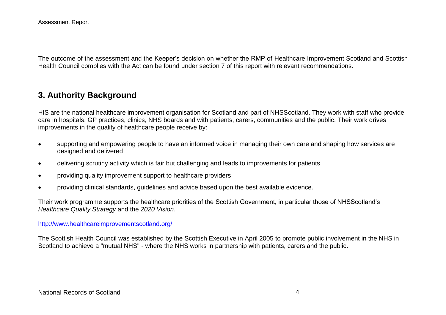The outcome of the assessment and the Keeper's decision on whether the RMP of Healthcare Improvement Scotland and Scottish Health Council complies with the Act can be found under section 7 of this report with relevant recommendations.

## **3. Authority Background**

HIS are the national healthcare improvement organisation for Scotland and part of NHSScotland. They work with staff who provide care in hospitals, GP practices, clinics, NHS boards and with patients, carers, communities and the public. Their work drives improvements in the quality of healthcare people receive by:

- supporting and empowering people to have an informed voice in managing their own care and shaping how services are designed and delivered
- delivering scrutiny activity which is fair but challenging and leads to improvements for patients
- providing quality improvement support to healthcare providers
- providing clinical standards, guidelines and advice based upon the best available evidence.

Their work programme supports the healthcare priorities of the Scottish Government, in particular those of NHSScotland's *Healthcare Quality Strategy* and the *2020 Vision*.

#### <http://www.healthcareimprovementscotland.org/>

The Scottish Health Council was established by the Scottish Executive in April 2005 to promote public involvement in the NHS in Scotland to achieve a "mutual NHS" - where the NHS works in partnership with patients, carers and the public.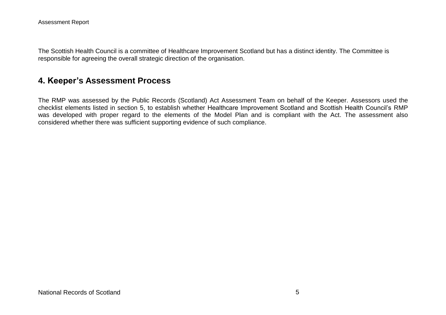The Scottish Health Council is a committee of Healthcare Improvement Scotland but has a distinct identity. The Committee is responsible for agreeing the overall strategic direction of the organisation.

# **4. Keeper's Assessment Process**

The RMP was assessed by the Public Records (Scotland) Act Assessment Team on behalf of the Keeper. Assessors used the checklist elements listed in section 5, to establish whether Healthcare Improvement Scotland and Scottish Health Council's RMP was developed with proper regard to the elements of the Model Plan and is compliant with the Act. The assessment also considered whether there was sufficient supporting evidence of such compliance.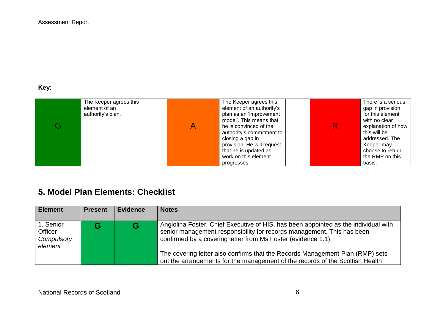#### **Key:**

| The Keeper agrees this<br>element of an<br>authority's plan. | The Keeper agrees this<br>element of an authority's<br>plan as an 'improvement<br>model'. This means that<br>he is convinced of the<br>authority's commitment to<br>closing a gap in<br>provision. He will request | R | There is a serious<br>gap in provision<br>for this element<br>with no clear<br>explanation of how<br>this will be<br>addressed. The<br>Keeper may<br>choose to return |
|--------------------------------------------------------------|--------------------------------------------------------------------------------------------------------------------------------------------------------------------------------------------------------------------|---|-----------------------------------------------------------------------------------------------------------------------------------------------------------------------|
|                                                              | that he is updated as                                                                                                                                                                                              |   |                                                                                                                                                                       |
|                                                              | work on this element                                                                                                                                                                                               |   | the RMP on this                                                                                                                                                       |
|                                                              | progresses.                                                                                                                                                                                                        |   | basis.                                                                                                                                                                |

# **5. Model Plan Elements: Checklist**

| <b>Element</b>                                       | <b>Present</b> | <b>Evidence</b> | <b>Notes</b>                                                                                                                                                                                                                                                                                                                                                                                     |
|------------------------------------------------------|----------------|-----------------|--------------------------------------------------------------------------------------------------------------------------------------------------------------------------------------------------------------------------------------------------------------------------------------------------------------------------------------------------------------------------------------------------|
| 1. Senior<br><b>Officer</b><br>Compulsory<br>element |                | G               | Angiolina Foster, Chief Executive of HIS, has been appointed as the individual with<br>senior management responsibility for records management. This has been<br>confirmed by a covering letter from Ms Foster (evidence 1.1).<br>The covering letter also confirms that the Records Management Plan (RMP) sets<br>out the arrangements for the management of the records of the Scottish Health |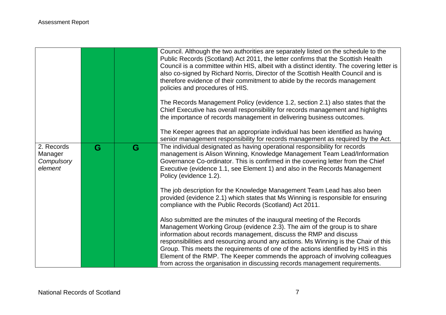|                                                |   |   | Council. Although the two authorities are separately listed on the schedule to the<br>Public Records (Scotland) Act 2011, the letter confirms that the Scottish Health<br>Council is a committee within HIS, albeit with a distinct identity. The covering letter is<br>also co-signed by Richard Norris, Director of the Scottish Health Council and is<br>therefore evidence of their commitment to abide by the records management<br>policies and procedures of HIS. |
|------------------------------------------------|---|---|--------------------------------------------------------------------------------------------------------------------------------------------------------------------------------------------------------------------------------------------------------------------------------------------------------------------------------------------------------------------------------------------------------------------------------------------------------------------------|
|                                                |   |   | The Records Management Policy (evidence 1.2, section 2.1) also states that the<br>Chief Executive has overall responsibility for records management and highlights<br>the importance of records management in delivering business outcomes.                                                                                                                                                                                                                              |
|                                                |   |   | The Keeper agrees that an appropriate individual has been identified as having<br>senior management responsibility for records management as required by the Act.                                                                                                                                                                                                                                                                                                        |
| 2. Records<br>Manager<br>Compulsory<br>element | G | G | The individual designated as having operational responsibility for records<br>management is Alison Winning, Knowledge Management Team Lead/Information<br>Governance Co-ordinator. This is confirmed in the covering letter from the Chief<br>Executive (evidence 1.1, see Element 1) and also in the Records Management<br>Policy (evidence 1.2).                                                                                                                       |
|                                                |   |   | The job description for the Knowledge Management Team Lead has also been<br>provided (evidence 2.1) which states that Ms Winning is responsible for ensuring<br>compliance with the Public Records (Scotland) Act 2011.                                                                                                                                                                                                                                                  |
|                                                |   |   | Also submitted are the minutes of the inaugural meeting of the Records<br>Management Working Group (evidence 2.3). The aim of the group is to share<br>information about records management, discuss the RMP and discuss<br>responsibilities and resourcing around any actions. Ms Winning is the Chair of this<br>Group. This meets the requirements of one of the actions identified by HIS in this                                                                    |
|                                                |   |   | Element of the RMP. The Keeper commends the approach of involving colleagues<br>from across the organisation in discussing records management requirements.                                                                                                                                                                                                                                                                                                              |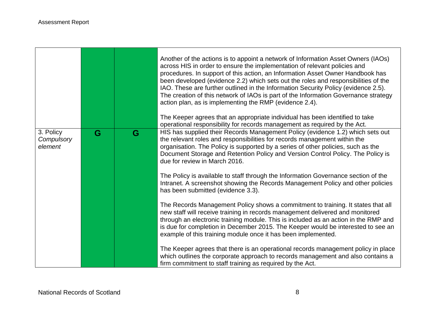|                                    |   |   | Another of the actions is to appoint a network of Information Asset Owners (IAOs)<br>across HIS in order to ensure the implementation of relevant policies and<br>procedures. In support of this action, an Information Asset Owner Handbook has<br>been developed (evidence 2.2) which sets out the roles and responsibilities of the<br>IAO. These are further outlined in the Information Security Policy (evidence 2.5).<br>The creation of this network of IAOs is part of the Information Governance strategy<br>action plan, as is implementing the RMP (evidence 2.4).<br>The Keeper agrees that an appropriate individual has been identified to take<br>operational responsibility for records management as required by the Act. |
|------------------------------------|---|---|---------------------------------------------------------------------------------------------------------------------------------------------------------------------------------------------------------------------------------------------------------------------------------------------------------------------------------------------------------------------------------------------------------------------------------------------------------------------------------------------------------------------------------------------------------------------------------------------------------------------------------------------------------------------------------------------------------------------------------------------|
| 3. Policy<br>Compulsory<br>element | G | G | HIS has supplied their Records Management Policy (evidence 1.2) which sets out<br>the relevant roles and responsibilities for records management within the<br>organisation. The Policy is supported by a series of other policies, such as the<br>Document Storage and Retention Policy and Version Control Policy. The Policy is<br>due for review in March 2016.                                                                                                                                                                                                                                                                                                                                                                         |
|                                    |   |   | The Policy is available to staff through the Information Governance section of the<br>Intranet. A screenshot showing the Records Management Policy and other policies<br>has been submitted (evidence 3.3).                                                                                                                                                                                                                                                                                                                                                                                                                                                                                                                                 |
|                                    |   |   | The Records Management Policy shows a commitment to training. It states that all<br>new staff will receive training in records management delivered and monitored<br>through an electronic training module. This is included as an action in the RMP and<br>is due for completion in December 2015. The Keeper would be interested to see an<br>example of this training module once it has been implemented.                                                                                                                                                                                                                                                                                                                               |
|                                    |   |   | The Keeper agrees that there is an operational records management policy in place<br>which outlines the corporate approach to records management and also contains a<br>firm commitment to staff training as required by the Act.                                                                                                                                                                                                                                                                                                                                                                                                                                                                                                           |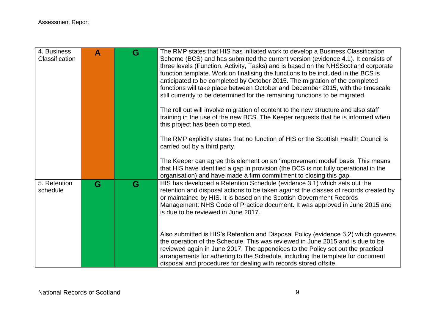| 4. Business<br>Classification | A | G | The RMP states that HIS has initiated work to develop a Business Classification<br>Scheme (BCS) and has submitted the current version (evidence 4.1). It consists of<br>three levels (Function, Activity, Tasks) and is based on the NHSS cotland corporate<br>function template. Work on finalising the functions to be included in the BCS is<br>anticipated to be completed by October 2015. The migration of the completed<br>functions will take place between October and December 2015, with the timescale<br>still currently to be determined for the remaining functions to be migrated.<br>The roll out will involve migration of content to the new structure and also staff<br>training in the use of the new BCS. The Keeper requests that he is informed when<br>this project has been completed. |
|-------------------------------|---|---|-----------------------------------------------------------------------------------------------------------------------------------------------------------------------------------------------------------------------------------------------------------------------------------------------------------------------------------------------------------------------------------------------------------------------------------------------------------------------------------------------------------------------------------------------------------------------------------------------------------------------------------------------------------------------------------------------------------------------------------------------------------------------------------------------------------------|
|                               |   |   | The RMP explicitly states that no function of HIS or the Scottish Health Council is<br>carried out by a third party.                                                                                                                                                                                                                                                                                                                                                                                                                                                                                                                                                                                                                                                                                            |
|                               |   |   | The Keeper can agree this element on an 'improvement model' basis. This means<br>that HIS have identified a gap in provision (the BCS is not fully operational in the<br>organisation) and have made a firm commitment to closing this gap.                                                                                                                                                                                                                                                                                                                                                                                                                                                                                                                                                                     |
| 5. Retention<br>schedule      | G | G | HIS has developed a Retention Schedule (evidence 3.1) which sets out the<br>retention and disposal actions to be taken against the classes of records created by<br>or maintained by HIS. It is based on the Scottish Government Records<br>Management: NHS Code of Practice document. It was approved in June 2015 and<br>is due to be reviewed in June 2017.                                                                                                                                                                                                                                                                                                                                                                                                                                                  |
|                               |   |   | Also submitted is HIS's Retention and Disposal Policy (evidence 3.2) which governs<br>the operation of the Schedule. This was reviewed in June 2015 and is due to be<br>reviewed again in June 2017. The appendices to the Policy set out the practical<br>arrangements for adhering to the Schedule, including the template for document<br>disposal and procedures for dealing with records stored offsite.                                                                                                                                                                                                                                                                                                                                                                                                   |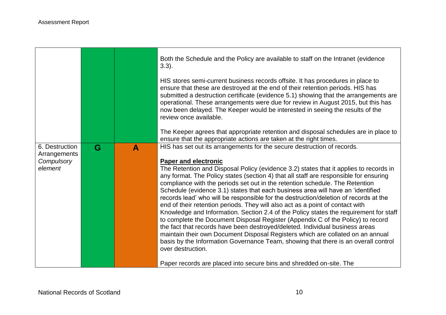$\Gamma$ 

|                                              |   |   | Both the Schedule and the Policy are available to staff on the Intranet (evidence<br>$3.3$ ).                                                                                                                                                                                                                                                                                                                                                                                                                                                                                                                                                                                                                                                                                                                                                                                                                                                                                       |
|----------------------------------------------|---|---|-------------------------------------------------------------------------------------------------------------------------------------------------------------------------------------------------------------------------------------------------------------------------------------------------------------------------------------------------------------------------------------------------------------------------------------------------------------------------------------------------------------------------------------------------------------------------------------------------------------------------------------------------------------------------------------------------------------------------------------------------------------------------------------------------------------------------------------------------------------------------------------------------------------------------------------------------------------------------------------|
|                                              |   |   | HIS stores semi-current business records offsite. It has procedures in place to<br>ensure that these are destroyed at the end of their retention periods. HIS has<br>submitted a destruction certificate (evidence 5.1) showing that the arrangements are<br>operational. These arrangements were due for review in August 2015, but this has<br>now been delayed. The Keeper would be interested in seeing the results of the<br>review once available.                                                                                                                                                                                                                                                                                                                                                                                                                                                                                                                            |
|                                              |   |   | The Keeper agrees that appropriate retention and disposal schedules are in place to<br>ensure that the appropriate actions are taken at the right times.                                                                                                                                                                                                                                                                                                                                                                                                                                                                                                                                                                                                                                                                                                                                                                                                                            |
| 6. Destruction<br>Arrangements<br>Compulsory | G | A | HIS has set out its arrangements for the secure destruction of records.<br><b>Paper and electronic</b>                                                                                                                                                                                                                                                                                                                                                                                                                                                                                                                                                                                                                                                                                                                                                                                                                                                                              |
| element                                      |   |   | The Retention and Disposal Policy (evidence 3.2) states that it applies to records in<br>any format. The Policy states (section 4) that all staff are responsible for ensuring<br>compliance with the periods set out in the retention schedule. The Retention<br>Schedule (evidence 3.1) states that each business area will have an 'identified<br>records lead' who will be responsible for the destruction/deletion of records at the<br>end of their retention periods. They will also act as a point of contact with<br>Knowledge and Information. Section 2.4 of the Policy states the requirement for staff<br>to complete the Document Disposal Register (Appendix C of the Policy) to record<br>the fact that records have been destroyed/deleted. Individual business areas<br>maintain their own Document Disposal Registers which are collated on an annual<br>basis by the Information Governance Team, showing that there is an overall control<br>over destruction. |
|                                              |   |   | Paper records are placed into secure bins and shredded on-site. The                                                                                                                                                                                                                                                                                                                                                                                                                                                                                                                                                                                                                                                                                                                                                                                                                                                                                                                 |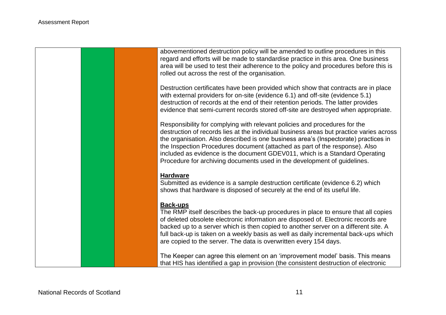abovementioned destruction policy will be amended to outline procedures in this regard and efforts will be made to standardise practice in this area. One business area will be used to test their adherence to the policy and procedures before this is rolled out across the rest of the organisation.

Destruction certificates have been provided which show that contracts are in place with external providers for on-site (evidence 6.1) and off-site (evidence 5.1) destruction of records at the end of their retention periods. The latter provides evidence that semi-current records stored off-site are destroyed when appropriate.

Responsibility for complying with relevant policies and procedures for the destruction of records lies at the individual business areas but practice varies across the organisation. Also described is one business area's (Inspectorate) practices in the Inspection Procedures document (attached as part of the response). Also included as evidence is the document GDEV011, which is a Standard Operating Procedure for archiving documents used in the development of guidelines.

#### **Hardware**

Submitted as evidence is a sample destruction certificate (evidence 6.2) which shows that hardware is disposed of securely at the end of its useful life.

#### **Back-ups**

The RMP itself describes the back-up procedures in place to ensure that all copies of deleted obsolete electronic information are disposed of. Electronic records are backed up to a server which is then copied to another server on a different site. A full back-up is taken on a weekly basis as well as daily incremental back-ups which are copied to the server. The data is overwritten every 154 days.

The Keeper can agree this element on an 'improvement model' basis. This means that HIS has identified a gap in provision (the consistent destruction of electronic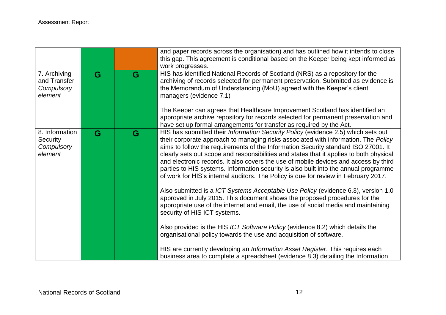|                                                            |   |   | and paper records across the organisation) and has outlined how it intends to close<br>this gap. This agreement is conditional based on the Keeper being kept informed as<br>work progresses.                                                                                                                                                                                                                                                                                                                                                                                                                                                                                                                                                                                                                                                                                                                                                                                                                                                                                   |
|------------------------------------------------------------|---|---|---------------------------------------------------------------------------------------------------------------------------------------------------------------------------------------------------------------------------------------------------------------------------------------------------------------------------------------------------------------------------------------------------------------------------------------------------------------------------------------------------------------------------------------------------------------------------------------------------------------------------------------------------------------------------------------------------------------------------------------------------------------------------------------------------------------------------------------------------------------------------------------------------------------------------------------------------------------------------------------------------------------------------------------------------------------------------------|
| 7. Archiving<br>and Transfer<br>Compulsory<br>element      | G | G | HIS has identified National Records of Scotland (NRS) as a repository for the<br>archiving of records selected for permanent preservation. Submitted as evidence is<br>the Memorandum of Understanding (MoU) agreed with the Keeper's client<br>managers (evidence 7.1)<br>The Keeper can agrees that Healthcare Improvement Scotland has identified an                                                                                                                                                                                                                                                                                                                                                                                                                                                                                                                                                                                                                                                                                                                         |
|                                                            |   |   | appropriate archive repository for records selected for permanent preservation and<br>have set up formal arrangements for transfer as required by the Act.                                                                                                                                                                                                                                                                                                                                                                                                                                                                                                                                                                                                                                                                                                                                                                                                                                                                                                                      |
| 8. Information<br><b>Security</b><br>Compulsory<br>element | G | G | HIS has submitted their Information Security Policy (evidence 2.5) which sets out<br>their corporate approach to managing risks associated with information. The Policy<br>aims to follow the requirements of the Information Security standard ISO 27001. It<br>clearly sets out scope and responsibilities and states that it applies to both physical<br>and electronic records. It also covers the use of mobile devices and access by third<br>parties to HIS systems. Information security is also built into the annual programme<br>of work for HIS's internal auditors. The Policy is due for review in February 2017.<br>Also submitted is a ICT Systems Acceptable Use Policy (evidence 6.3), version 1.0<br>approved in July 2015. This document shows the proposed procedures for the<br>appropriate use of the internet and email, the use of social media and maintaining<br>security of HIS ICT systems.<br>Also provided is the HIS ICT Software Policy (evidence 8.2) which details the<br>organisational policy towards the use and acquisition of software. |
|                                                            |   |   | HIS are currently developing an Information Asset Register. This requires each<br>business area to complete a spreadsheet (evidence 8.3) detailing the Information                                                                                                                                                                                                                                                                                                                                                                                                                                                                                                                                                                                                                                                                                                                                                                                                                                                                                                              |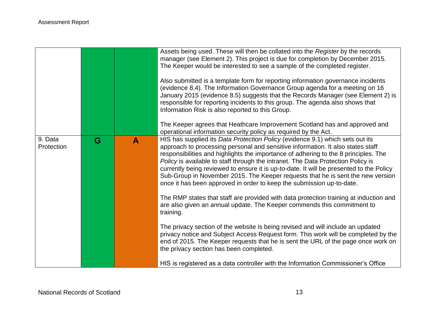|                       |   |              | Assets being used. These will then be collated into the Register by the records<br>manager (see Element 2). This project is due for completion by December 2015.<br>The Keeper would be interested to see a sample of the completed register.<br>Also submitted is a template form for reporting information governance incidents<br>(evidence 8.4). The Information Governance Group agenda for a meeting on 16<br>January 2015 (evidence 8.5) suggests that the Records Manager (see Element 2) is<br>responsible for reporting incidents to this group. The agenda also shows that<br>Information Risk is also reported to this Group.<br>The Keeper agrees that Heathcare Improvement Scotland has and approved and                                                             |
|-----------------------|---|--------------|-------------------------------------------------------------------------------------------------------------------------------------------------------------------------------------------------------------------------------------------------------------------------------------------------------------------------------------------------------------------------------------------------------------------------------------------------------------------------------------------------------------------------------------------------------------------------------------------------------------------------------------------------------------------------------------------------------------------------------------------------------------------------------------|
|                       |   |              | operational information security policy as required by the Act.                                                                                                                                                                                                                                                                                                                                                                                                                                                                                                                                                                                                                                                                                                                     |
| 9. Data<br>Protection | G | $\mathbf{A}$ | HIS has supplied its Data Protection Policy (evidence 9.1) which sets out its<br>approach to processing personal and sensitive information. It also states staff<br>responsibilities and highlights the importance of adhering to the 8 principles. The<br>Policy is available to staff through the intranet. The Data Protection Policy is<br>currently being reviewed to ensure it is up-to-date. It will be presented to the Policy<br>Sub-Group in November 2015. The Keeper requests that he is sent the new version<br>once it has been approved in order to keep the submission up-to-date.<br>The RMP states that staff are provided with data protection training at induction and<br>are also given an annual update. The Keeper commends this commitment to<br>training. |
|                       |   |              | The privacy section of the website is being revised and will include an updated<br>privacy notice and Subject Access Request form. This work will be completed by the<br>end of 2015. The Keeper requests that he is sent the URL of the page once work on<br>the privacy section has been completed.                                                                                                                                                                                                                                                                                                                                                                                                                                                                               |
|                       |   |              | HIS is registered as a data controller with the Information Commissioner's Office                                                                                                                                                                                                                                                                                                                                                                                                                                                                                                                                                                                                                                                                                                   |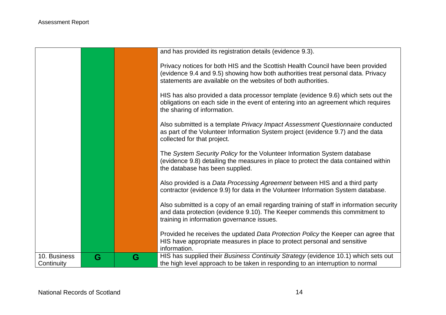|                            |   |   | and has provided its registration details (evidence 9.3).                                                                                                                                                                            |
|----------------------------|---|---|--------------------------------------------------------------------------------------------------------------------------------------------------------------------------------------------------------------------------------------|
|                            |   |   | Privacy notices for both HIS and the Scottish Health Council have been provided<br>(evidence 9.4 and 9.5) showing how both authorities treat personal data. Privacy<br>statements are available on the websites of both authorities. |
|                            |   |   | HIS has also provided a data processor template (evidence 9.6) which sets out the<br>obligations on each side in the event of entering into an agreement which requires<br>the sharing of information.                               |
|                            |   |   | Also submitted is a template Privacy Impact Assessment Questionnaire conducted<br>as part of the Volunteer Information System project (evidence 9.7) and the data<br>collected for that project.                                     |
|                            |   |   | The System Security Policy for the Volunteer Information System database<br>(evidence 9.8) detailing the measures in place to protect the data contained within<br>the database has been supplied.                                   |
|                            |   |   | Also provided is a Data Processing Agreement between HIS and a third party<br>contractor (evidence 9.9) for data in the Volunteer Information System database.                                                                       |
|                            |   |   | Also submitted is a copy of an email regarding training of staff in information security<br>and data protection (evidence 9.10). The Keeper commends this commitment to<br>training in information governance issues.                |
|                            |   |   | Provided he receives the updated Data Protection Policy the Keeper can agree that<br>HIS have appropriate measures in place to protect personal and sensitive<br>information.                                                        |
| 10. Business<br>Continuity | G | G | HIS has supplied their Business Continuity Strategy (evidence 10.1) which sets out<br>the high level approach to be taken in responding to an interruption to normal                                                                 |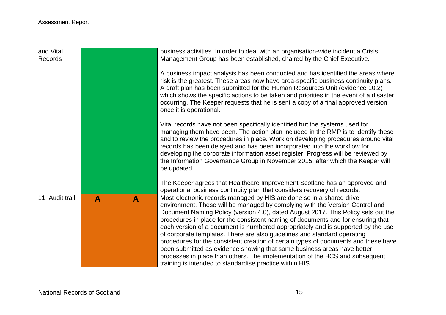|   |   | business activities. In order to deal with an organisation-wide incident a Crisis<br>Management Group has been established, chaired by the Chief Executive.                                                                                                                                                                                                                                                                                                                                                                                                                                                                                                                                                                                                                                                 |
|---|---|-------------------------------------------------------------------------------------------------------------------------------------------------------------------------------------------------------------------------------------------------------------------------------------------------------------------------------------------------------------------------------------------------------------------------------------------------------------------------------------------------------------------------------------------------------------------------------------------------------------------------------------------------------------------------------------------------------------------------------------------------------------------------------------------------------------|
|   |   | A business impact analysis has been conducted and has identified the areas where<br>risk is the greatest. These areas now have area-specific business continuity plans.<br>A draft plan has been submitted for the Human Resources Unit (evidence 10.2)<br>which shows the specific actions to be taken and priorities in the event of a disaster<br>occurring. The Keeper requests that he is sent a copy of a final approved version<br>once it is operational.                                                                                                                                                                                                                                                                                                                                           |
|   |   | Vital records have not been specifically identified but the systems used for<br>managing them have been. The action plan included in the RMP is to identify these<br>and to review the procedures in place. Work on developing procedures around vital<br>records has been delayed and has been incorporated into the workflow for<br>developing the corporate information asset register. Progress will be reviewed by<br>the Information Governance Group in November 2015, after which the Keeper will<br>be updated.                                                                                                                                                                                                                                                                                    |
|   |   | The Keeper agrees that Healthcare Improvement Scotland has an approved and<br>operational business continuity plan that considers recovery of records.                                                                                                                                                                                                                                                                                                                                                                                                                                                                                                                                                                                                                                                      |
| A | A | Most electronic records managed by HIS are done so in a shared drive<br>environment. These will be managed by complying with the Version Control and<br>Document Naming Policy (version 4.0), dated August 2017. This Policy sets out the<br>procedures in place for the consistent naming of documents and for ensuring that<br>each version of a document is numbered appropriately and is supported by the use<br>of corporate templates. There are also guidelines and standard operating<br>procedures for the consistent creation of certain types of documents and these have<br>been submitted as evidence showing that some business areas have better<br>processes in place than others. The implementation of the BCS and subsequent<br>training is intended to standardise practice within HIS. |
|   |   |                                                                                                                                                                                                                                                                                                                                                                                                                                                                                                                                                                                                                                                                                                                                                                                                             |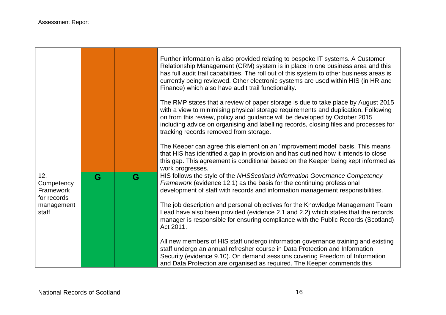$\Gamma$ 

and the control of the control of the control of the control of the control of the control of the control of the

|                                               |   |   | Further information is also provided relating to bespoke IT systems. A Customer<br>Relationship Management (CRM) system is in place in one business area and this<br>has full audit trail capabilities. The roll out of this system to other business areas is<br>currently being reviewed. Other electronic systems are used within HIS (in HR and<br>Finance) which also have audit trail functionality. |
|-----------------------------------------------|---|---|------------------------------------------------------------------------------------------------------------------------------------------------------------------------------------------------------------------------------------------------------------------------------------------------------------------------------------------------------------------------------------------------------------|
|                                               |   |   | The RMP states that a review of paper storage is due to take place by August 2015<br>with a view to minimising physical storage requirements and duplication. Following<br>on from this review, policy and guidance will be developed by October 2015<br>including advice on organising and labelling records, closing files and processes for<br>tracking records removed from storage.                   |
|                                               |   |   | The Keeper can agree this element on an 'improvement model' basis. This means<br>that HIS has identified a gap in provision and has outlined how it intends to close<br>this gap. This agreement is conditional based on the Keeper being kept informed as<br>work progresses.                                                                                                                             |
| 12.<br>Competency<br>Framework<br>for records | G | G | HIS follows the style of the NHSScotland Information Governance Competency<br>Framework (evidence 12.1) as the basis for the continuing professional<br>development of staff with records and information management responsibilities.                                                                                                                                                                     |
| management<br>staff                           |   |   | The job description and personal objectives for the Knowledge Management Team<br>Lead have also been provided (evidence 2.1 and 2.2) which states that the records<br>manager is responsible for ensuring compliance with the Public Records (Scotland)<br>Act 2011.                                                                                                                                       |
|                                               |   |   | All new members of HIS staff undergo information governance training and existing<br>staff undergo an annual refresher course in Data Protection and Information<br>Security (evidence 9.10). On demand sessions covering Freedom of Information<br>and Data Protection are organised as required. The Keeper commends this                                                                                |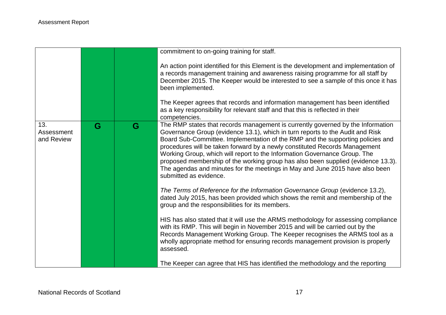|                                 |   |   | commitment to on-going training for staff.                                                                                                                                                                                                                                                                                                                                                                                                                                                                                                                                                                  |
|---------------------------------|---|---|-------------------------------------------------------------------------------------------------------------------------------------------------------------------------------------------------------------------------------------------------------------------------------------------------------------------------------------------------------------------------------------------------------------------------------------------------------------------------------------------------------------------------------------------------------------------------------------------------------------|
|                                 |   |   | An action point identified for this Element is the development and implementation of<br>a records management training and awareness raising programme for all staff by<br>December 2015. The Keeper would be interested to see a sample of this once it has<br>been implemented.                                                                                                                                                                                                                                                                                                                            |
|                                 |   |   | The Keeper agrees that records and information management has been identified<br>as a key responsibility for relevant staff and that this is reflected in their<br>competencies.                                                                                                                                                                                                                                                                                                                                                                                                                            |
| 13.<br>Assessment<br>and Review | G | G | The RMP states that records management is currently governed by the Information<br>Governance Group (evidence 13.1), which in turn reports to the Audit and Risk<br>Board Sub-Committee. Implementation of the RMP and the supporting policies and<br>procedures will be taken forward by a newly constituted Records Management<br>Working Group, which will report to the Information Governance Group. The<br>proposed membership of the working group has also been supplied (evidence 13.3).<br>The agendas and minutes for the meetings in May and June 2015 have also been<br>submitted as evidence. |
|                                 |   |   | The Terms of Reference for the Information Governance Group (evidence 13.2),<br>dated July 2015, has been provided which shows the remit and membership of the<br>group and the responsibilities for its members.                                                                                                                                                                                                                                                                                                                                                                                           |
|                                 |   |   | HIS has also stated that it will use the ARMS methodology for assessing compliance<br>with its RMP. This will begin in November 2015 and will be carried out by the<br>Records Management Working Group. The Keeper recognises the ARMS tool as a<br>wholly appropriate method for ensuring records management provision is properly<br>assessed.                                                                                                                                                                                                                                                           |
|                                 |   |   | The Keeper can agree that HIS has identified the methodology and the reporting                                                                                                                                                                                                                                                                                                                                                                                                                                                                                                                              |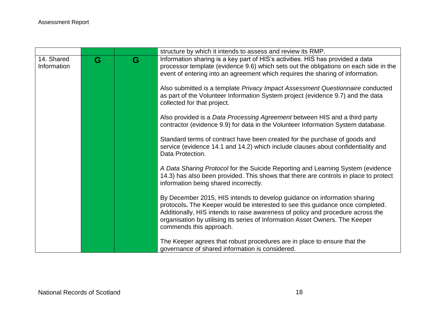|             |   |   | structure by which it intends to assess and review its RMP.                          |
|-------------|---|---|--------------------------------------------------------------------------------------|
| 14. Shared  | G | G | Information sharing is a key part of HIS's activities. HIS has provided a data       |
| Information |   |   | processor template (evidence 9.6) which sets out the obligations on each side in the |
|             |   |   | event of entering into an agreement which requires the sharing of information.       |
|             |   |   |                                                                                      |
|             |   |   | Also submitted is a template Privacy Impact Assessment Questionnaire conducted       |
|             |   |   | as part of the Volunteer Information System project (evidence 9.7) and the data      |
|             |   |   | collected for that project.                                                          |
|             |   |   | Also provided is a Data Processing Agreement between HIS and a third party           |
|             |   |   | contractor (evidence 9.9) for data in the Volunteer Information System database.     |
|             |   |   |                                                                                      |
|             |   |   | Standard terms of contract have been created for the purchase of goods and           |
|             |   |   | service (evidence 14.1 and 14.2) which include clauses about confidentiality and     |
|             |   |   | Data Protection.                                                                     |
|             |   |   |                                                                                      |
|             |   |   | A Data Sharing Protocol for the Suicide Reporting and Learning System (evidence      |
|             |   |   | 14.3) has also been provided. This shows that there are controls in place to protect |
|             |   |   | information being shared incorrectly.                                                |
|             |   |   | By December 2015, HIS intends to develop guidance on information sharing             |
|             |   |   | protocols. The Keeper would be interested to see this guidance once completed.       |
|             |   |   | Additionally, HIS intends to raise awareness of policy and procedure across the      |
|             |   |   | organisation by utilising its series of Information Asset Owners. The Keeper         |
|             |   |   | commends this approach.                                                              |
|             |   |   |                                                                                      |
|             |   |   | The Keeper agrees that robust procedures are in place to ensure that the             |
|             |   |   | governance of shared information is considered.                                      |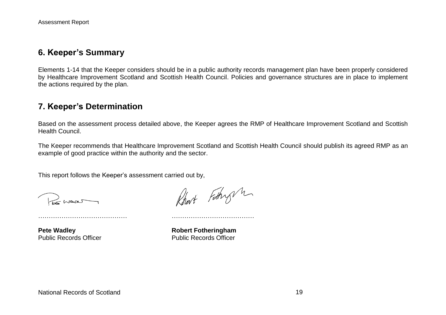#### **6. Keeper's Summary**

Elements 1-14 that the Keeper considers should be in a public authority records management plan have been properly considered by Healthcare Improvement Scotland and Scottish Health Council. Policies and governance structures are in place to implement the actions required by the plan.

## **7. Keeper's Determination**

Based on the assessment process detailed above, the Keeper agrees the RMP of Healthcare Improvement Scotland and Scottish Health Council.

The Keeper recommends that Healthcare Improvement Scotland and Scottish Health Council should publish its agreed RMP as an example of good practice within the authority and the sector.

This report follows the Keeper's assessment carried out by,

Brussel

Robert Fathry m

**Pete Wadley <b>Robert Fotheringham** Public Records Officer **Public Records Officer** 

…………………………………… …………………………………